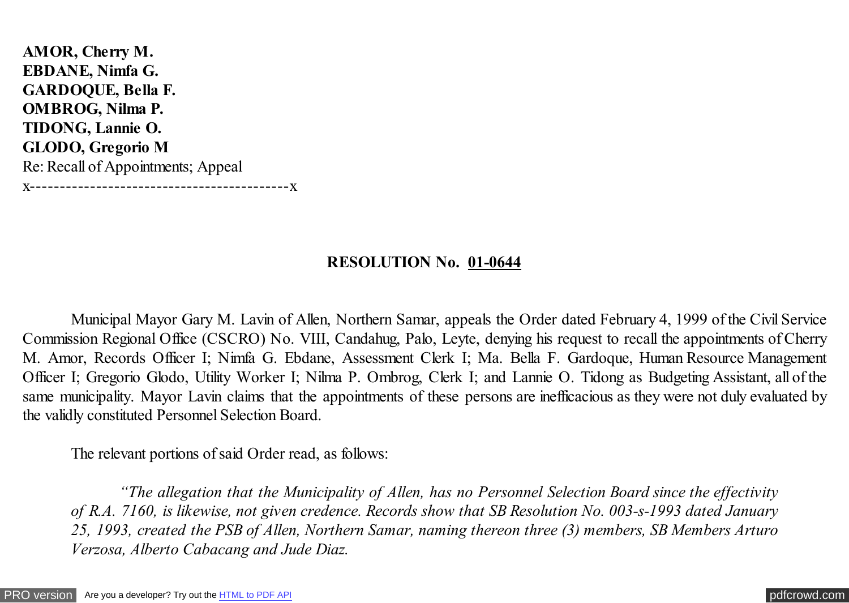**AMOR, Cherry M. EBDANE, Nimfa G. GARDOQUE, Bella F. OMBROG, Nilma P. TIDONG, Lannie O. GLODO, Gregorio M** Re: Recall of Appointments; Appeal x-------------------------------------------x

## **RESOLUTION No. 01-0644**

 Municipal Mayor Gary M. Lavin of Allen, Northern Samar, appeals the Order dated February 4, 1999 of the Civil Service Commission Regional Office (CSCRO) No. VIII, Candahug, Palo, Leyte, denying his request to recall the appointments of Cherry M. Amor, Records Officer I; Nimfa G. Ebdane, Assessment Clerk I; Ma. Bella F. Gardoque, Human Resource Management Officer I; Gregorio Glodo, Utility Worker I; Nilma P. Ombrog, Clerk I; and Lannie O. Tidong as Budgeting Assistant, all of the same municipality. Mayor Lavin claims that the appointments of these persons are inefficacious as they were not duly evaluated by the validly constituted Personnel Selection Board.

The relevant portions of said Order read, as follows:

 *"The allegation that the Municipality of Allen, has no Personnel Selection Board since the effectivity of R.A. 7160, is likewise, not given credence. Records show that SB Resolution No. 003-s-1993 dated January 25, 1993, created the PSB of Allen, Northern Samar, naming thereon three (3) members, SB Members Arturo Verzosa, Alberto Cabacang and Jude Diaz.*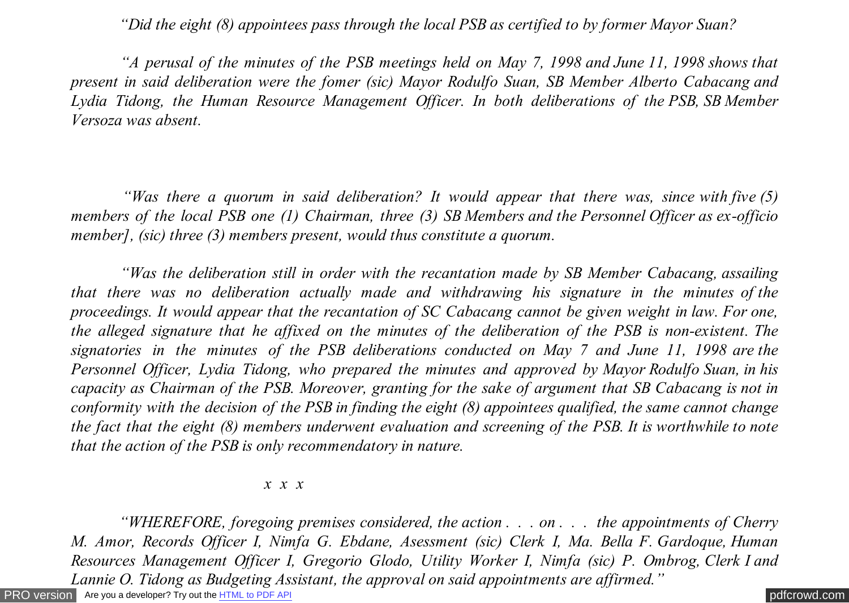*"Did the eight (8) appointees pass through the local PSB as certified to by former Mayor Suan?*

 *"A perusal of the minutes of the PSB meetings held on May 7, 1998 and June 11, 1998 shows that present in said deliberation were the fomer (sic) Mayor Rodulfo Suan, SB Member Alberto Cabacang and Lydia Tidong, the Human Resource Management Officer. In both deliberations of the PSB, SB Member Versoza was absent.*

 *"Was there a quorum in said deliberation? It would appear that there was, since with five (5) members of the local PSB one (1) Chairman, three (3) SB Members and the Personnel Officer as ex-officio member], (sic) three (3) members present, would thus constitute a quorum.*

 *"Was the deliberation still in order with the recantation made by SB Member Cabacang, assailing that there was no deliberation actually made and withdrawing his signature in the minutes of the proceedings. It would appear that the recantation of SC Cabacang cannot be given weight in law. For one, the alleged signature that he affixed on the minutes of the deliberation of the PSB is non-existent. The signatories in the minutes of the PSB deliberations conducted on May 7 and June 11, 1998 are the Personnel Officer, Lydia Tidong, who prepared the minutes and approved by Mayor Rodulfo Suan, in his capacity as Chairman of the PSB. Moreover, granting for the sake of argument that SB Cabacang is not in conformity with the decision of the PSB in finding the eight (8) appointees qualified, the same cannot change the fact that the eight (8) members underwent evaluation and screening of the PSB. It is worthwhile to note that the action of the PSB is only recommendatory in nature.*

#### *x x x*

[PRO version](http://pdfcrowd.com/customize/) Are you a developer? Try out th[e HTML to PDF API](http://pdfcrowd.com/html-to-pdf-api/?ref=pdf) contract the CHTML of PDF API [pdfcrowd.com](http://pdfcrowd.com)  *"WHEREFORE, foregoing premises considered, the action . . . on . . . the appointments of Cherry M. Amor, Records Officer I, Nimfa G. Ebdane, Asessment (sic) Clerk I, Ma. Bella F. Gardoque, Human Resources Management Officer I, Gregorio Glodo, Utility Worker I, Nimfa (sic) P. Ombrog, Clerk I and Lannie O. Tidong as Budgeting Assistant, the approval on said appointments are affirmed."*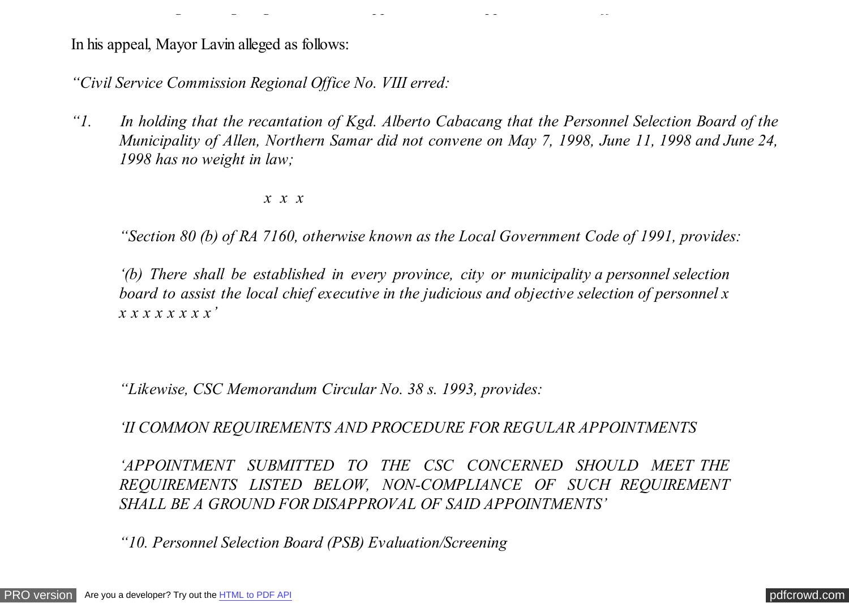In his appeal, Mayor Lavin alleged as follows:

*"Civil Service Commission Regional Office No. VIII erred:*

*"1. In holding that the recantation of Kgd. Alberto Cabacang that the Personnel Selection Board of the Municipality of Allen, Northern Samar did not convene on May 7, 1998, June 11, 1998 and June 24, 1998 has no weight in law;*

*Lannie O. Tidong as Budgeting Assistant, the approval on said appointments are affirmed."*

 *x x x*

 *"Section 80 (b) of RA 7160, otherwise known as the Local Government Code of 1991, provides:*

*'(b) There shall be established in every province, city or municipality a personnel selection board to assist the local chief executive in the judicious and objective selection of personnel x x x x x x x x x'*

*"Likewise, CSC Memorandum Circular No. 38 s. 1993, provides:*

 *'II COMMON REQUIREMENTS AND PROCEDURE FOR REGULAR APPOINTMENTS*

*'APPOINTMENT SUBMITTED TO THE CSC CONCERNED SHOULD MEET THE REQUIREMENTS LISTED BELOW, NON-COMPLIANCE OF SUCH REQUIREMENT SHALL BE A GROUND FOR DISAPPROVAL OF SAID APPOINTMENTS'*

*"10. Personnel Selection Board (PSB) Evaluation/Screening*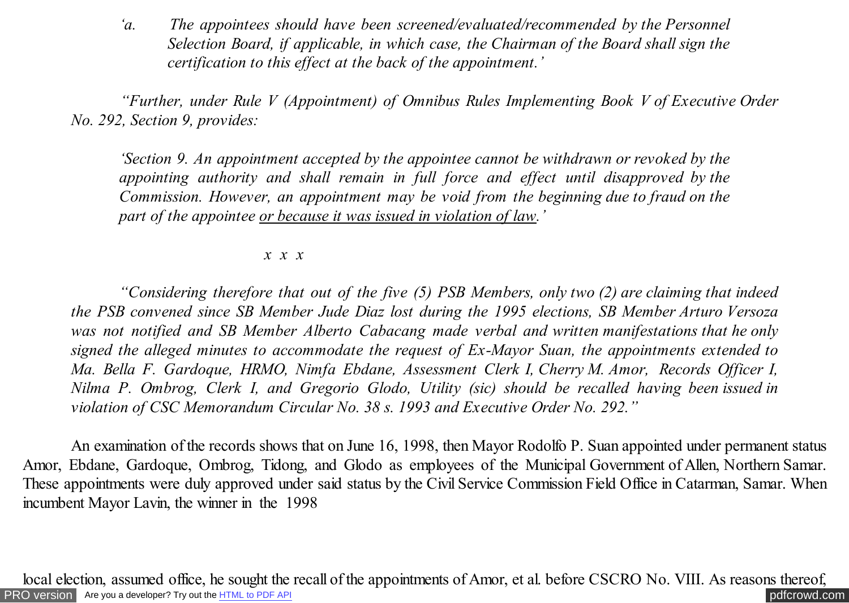*'a. The appointees should have been screened/evaluated/recommended by the Personnel Selection Board, if applicable, in which case, the Chairman of the Board shall sign the certification to this effect at the back of the appointment.'*

 *"Further, under Rule V (Appointment) of Omnibus Rules Implementing Book V of Executive Order No. 292, Section 9, provides:*

*'Section 9. An appointment accepted by the appointee cannot be withdrawn or revoked by the appointing authority and shall remain in full force and effect until disapproved by the Commission. However, an appointment may be void from the beginning due to fraud on the part of the appointee or because it was issued in violation of law.'*

### *x x x*

*"Considering therefore that out of the five (5) PSB Members, only two (2) are claiming that indeed the PSB convened since SB Member Jude Diaz lost during the 1995 elections, SB Member Arturo Versoza was not notified and SB Member Alberto Cabacang made verbal and written manifestations that he only signed the alleged minutes to accommodate the request of Ex-Mayor Suan, the appointments extended to Ma. Bella F. Gardoque, HRMO, Nimfa Ebdane, Assessment Clerk I, Cherry M. Amor, Records Officer I, Nilma P. Ombrog, Clerk I, and Gregorio Glodo, Utility (sic) should be recalled having been issued in violation of CSC Memorandum Circular No. 38 s. 1993 and Executive Order No. 292."*

 An examination of the records shows that on June 16, 1998, then Mayor Rodolfo P. Suan appointed under permanent status Amor, Ebdane, Gardoque, Ombrog, Tidong, and Glodo as employees of the Municipal Government of Allen, Northern Samar. These appointments were duly approved under said status by the Civil Service Commission Field Office in Catarman, Samar. When incumbent Mayor Lavin, the winner in the 1998

[PRO version](http://pdfcrowd.com/customize/) Are you a developer? Try out th[e HTML to PDF API](http://pdfcrowd.com/html-to-pdf-api/?ref=pdf) [pdfcrowd.com](http://pdfcrowd.com) local election, assumed office, he sought the recall of the appointments of Amor, et al. before CSCRO No. VIII. As reasons thereof,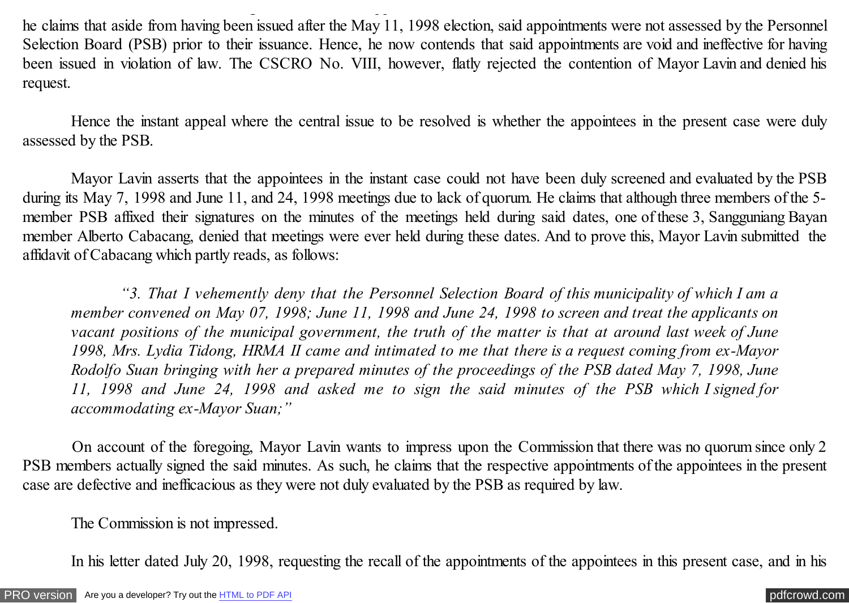he claims that aside from having been issued after the May 11, 1998 election, said appointments were not assessed by the Personnel Selection Board (PSB) prior to their issuance. Hence, he now contends that said appointments are void and ineffective for having been issued in violation of law. The CSCRO No. VIII, however, flatly rejected the contention of Mayor Lavin and denied his request.

local election, assumed office, he sought the recall of the appointments of Amor, et al. before CSCRO No. VIII. As reasons thereof,

Hence the instant appeal where the central issue to be resolved is whether the appointees in the present case were duly assessed by the PSB.

Mayor Lavin asserts that the appointees in the instant case could not have been duly screened and evaluated by the PSB during its May 7, 1998 and June 11, and 24, 1998 meetings due to lack of quorum. He claims that although three members of the 5 member PSB affixed their signatures on the minutes of the meetings held during said dates, one of these 3, Sangguniang Bayan member Alberto Cabacang, denied that meetings were ever held during these dates. And to prove this, Mayor Lavin submitted the affidavit of Cabacang which partly reads, as follows:

 *"3. That I vehemently deny that the Personnel Selection Board of this municipality of which I am a member convened on May 07, 1998; June 11, 1998 and June 24, 1998 to screen and treat the applicants on vacant positions of the municipal government, the truth of the matter is that at around last week of June 1998, Mrs. Lydia Tidong, HRMA II came and intimated to me that there is a request coming from ex-Mayor Rodolfo Suan bringing with her a prepared minutes of the proceedings of the PSB dated May 7, 1998, June 11, 1998 and June 24, 1998 and asked me to sign the said minutes of the PSB which I signed for accommodating ex-Mayor Suan;"*

 On account of the foregoing, Mayor Lavin wants to impress upon the Commission that there was no quorum since only 2 PSB members actually signed the said minutes. As such, he claims that the respective appointments of the appointees in the present case are defective and inefficacious as they were not duly evaluated by the PSB as required by law.

The Commission is not impressed.

In his letter dated July 20, 1998, requesting the recall of the appointments of the appointees in this present case, and in his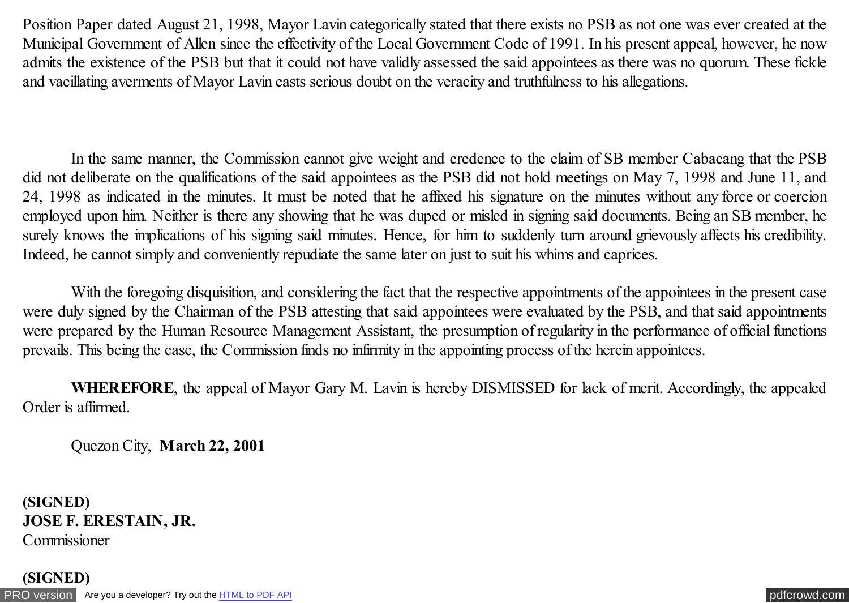Position Paper dated August 21, 1998, Mayor Lavin categorically stated that there exists no PSB as not one was ever created at the Municipal Government of Allen since the effectivity of the Local Government Code of 1991. In his present appeal, however, he now admits the existence of the PSB but that it could not have validly assessed the said appointees as there was no quorum. These fickle and vacillating averments of Mayor Lavin casts serious doubt on the veracity and truthfulness to his allegations.

 In the same manner, the Commission cannot give weight and credence to the claim of SB member Cabacang that the PSB did not deliberate on the qualifications of the said appointees as the PSB did not hold meetings on May 7, 1998 and June 11, and 24, 1998 as indicated in the minutes. It must be noted that he affixed his signature on the minutes without any force or coercion employed upon him. Neither is there any showing that he was duped or misled in signing said documents. Being an SB member, he surely knows the implications of his signing said minutes. Hence, for him to suddenly turn around grievously affects his credibility. Indeed, he cannot simply and conveniently repudiate the same later on just to suit his whims and caprices.

With the foregoing disquisition, and considering the fact that the respective appointments of the appointees in the present case were duly signed by the Chairman of the PSB attesting that said appointees were evaluated by the PSB, and that said appointments were prepared by the Human Resource Management Assistant, the presumption of regularity in the performance of official functions prevails. This being the case, the Commission finds no infirmity in the appointing process of the herein appointees.

 **WHEREFORE**, the appeal of Mayor Gary M. Lavin is hereby DISMISSED for lack of merit. Accordingly, the appealed Order is affirmed.

Quezon City, **March 22, 2001**

**(SIGNED) JOSE F. ERESTAIN, JR.** Commissioner

[PRO version](http://pdfcrowd.com/customize/) Are you a developer? Try out th[e HTML to PDF API](http://pdfcrowd.com/html-to-pdf-api/?ref=pdf) [pdfcrowd.com](http://pdfcrowd.com) **(SIGNED)**